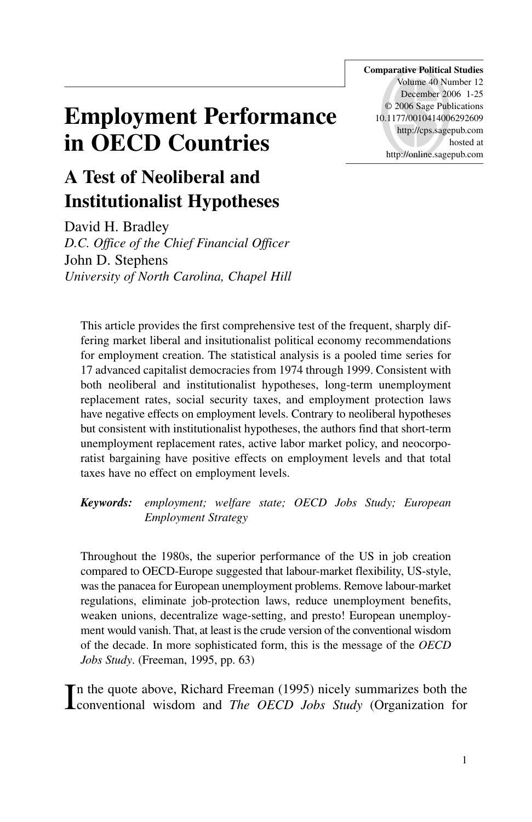# **Employment Performance in OECD Countries**

**Comparative Political Studies** Volume 40 Number 12 December 2006 1-25 © 2006 Sage Publications 10.1177/0010414006292609 http://cps.sagepub.com hosted at http://online.sagepub.com

## **A Test of Neoliberal and Institutionalist Hypotheses**

David H. Bradley *D.C. Office of the Chief Financial Officer* John D. Stephens *University of North Carolina, Chapel Hill*

This article provides the first comprehensive test of the frequent, sharply differing market liberal and insitutionalist political economy recommendations for employment creation. The statistical analysis is a pooled time series for 17 advanced capitalist democracies from 1974 through 1999. Consistent with both neoliberal and institutionalist hypotheses, long-term unemployment replacement rates, social security taxes, and employment protection laws have negative effects on employment levels. Contrary to neoliberal hypotheses but consistent with institutionalist hypotheses, the authors find that short-term unemployment replacement rates, active labor market policy, and neocorporatist bargaining have positive effects on employment levels and that total taxes have no effect on employment levels.

*Keywords: employment; welfare state; OECD Jobs Study; European Employment Strategy*

Throughout the 1980s, the superior performance of the US in job creation compared to OECD-Europe suggested that labour-market flexibility, US-style, was the panacea for European unemployment problems. Remove labour-market regulations, eliminate job-protection laws, reduce unemployment benefits, weaken unions, decentralize wage-setting, and presto! European unemployment would vanish. That, at least is the crude version of the conventional wisdom of the decade. In more sophisticated form, this is the message of the *OECD Jobs Study*. (Freeman, 1995, pp. 63)

In the quote above, Richard Freeman (1995) nicely summarizes both the conventional wisdom and *The OECD Jobs Study* (Organization for n the quote above, Richard Freeman (1995) nicely summarizes both the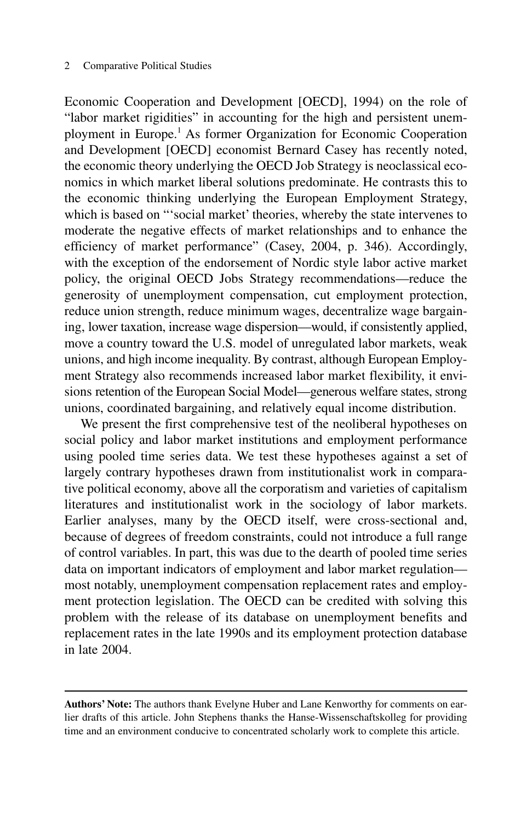Economic Cooperation and Development [OECD], 1994) on the role of "labor market rigidities" in accounting for the high and persistent unemployment in Europe.1 As former Organization for Economic Cooperation and Development [OECD] economist Bernard Casey has recently noted, the economic theory underlying the OECD Job Strategy is neoclassical economics in which market liberal solutions predominate. He contrasts this to the economic thinking underlying the European Employment Strategy, which is based on "'social market' theories, whereby the state intervenes to moderate the negative effects of market relationships and to enhance the efficiency of market performance" (Casey, 2004, p. 346). Accordingly, with the exception of the endorsement of Nordic style labor active market policy, the original OECD Jobs Strategy recommendations—reduce the generosity of unemployment compensation, cut employment protection, reduce union strength, reduce minimum wages, decentralize wage bargaining, lower taxation, increase wage dispersion—would, if consistently applied, move a country toward the U.S. model of unregulated labor markets, weak unions, and high income inequality. By contrast, although European Employment Strategy also recommends increased labor market flexibility, it envisions retention of the European Social Model—generous welfare states, strong unions, coordinated bargaining, and relatively equal income distribution.

We present the first comprehensive test of the neoliberal hypotheses on social policy and labor market institutions and employment performance using pooled time series data. We test these hypotheses against a set of largely contrary hypotheses drawn from institutionalist work in comparative political economy, above all the corporatism and varieties of capitalism literatures and institutionalist work in the sociology of labor markets. Earlier analyses, many by the OECD itself, were cross-sectional and, because of degrees of freedom constraints, could not introduce a full range of control variables. In part, this was due to the dearth of pooled time series data on important indicators of employment and labor market regulation most notably, unemployment compensation replacement rates and employment protection legislation. The OECD can be credited with solving this problem with the release of its database on unemployment benefits and replacement rates in the late 1990s and its employment protection database in late 2004.

**Authors' Note:** The authors thank Evelyne Huber and Lane Kenworthy for comments on earlier drafts of this article. John Stephens thanks the Hanse-Wissenschaftskolleg for providing time and an environment conducive to concentrated scholarly work to complete this article.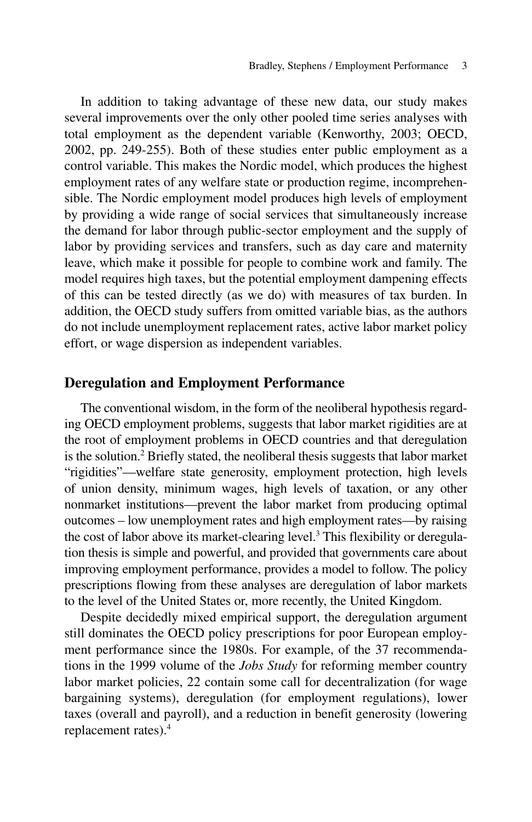In addition to taking advantage of these new data, our study makes several improvements over the only other pooled time series analyses with total employment as the dependent variable (Kenworthy, 2003; OECD, 2002, pp. 249-255). Both of these studies enter public employment as a control variable. This makes the Nordic model, which produces the highest employment rates of any welfare state or production regime, incomprehensible. The Nordic employment model produces high levels of employment by providing a wide range of social services that simultaneously increase the demand for labor through public-sector employment and the supply of labor by providing services and transfers, such as day care and maternity leave, which make it possible for people to combine work and family. The model requires high taxes, but the potential employment dampening effects of this can be tested directly (as we do) with measures of tax burden. In addition, the OECD study suffers from omitted variable bias, as the authors do not include unemployment replacement rates, active labor market policy effort, or wage dispersion as independent variables.

#### **Deregulation and Employment Performance**

The conventional wisdom, in the form of the neoliberal hypothesis regarding OECD employment problems, suggests that labor market rigidities are at the root of employment problems in OECD countries and that deregulation is the solution.2 Briefly stated, the neoliberal thesis suggests that labor market "rigidities"—welfare state generosity, employment protection, high levels of union density, minimum wages, high levels of taxation, or any other nonmarket institutions—prevent the labor market from producing optimal outcomes – low unemployment rates and high employment rates—by raising the cost of labor above its market-clearing level.3 This flexibility or deregulation thesis is simple and powerful, and provided that governments care about improving employment performance, provides a model to follow. The policy prescriptions flowing from these analyses are deregulation of labor markets to the level of the United States or, more recently, the United Kingdom.

Despite decidedly mixed empirical support, the deregulation argument still dominates the OECD policy prescriptions for poor European employment performance since the 1980s. For example, of the 37 recommendations in the 1999 volume of the *Jobs Study* for reforming member country labor market policies, 22 contain some call for decentralization (for wage bargaining systems), deregulation (for employment regulations), lower taxes (overall and payroll), and a reduction in benefit generosity (lowering replacement rates).4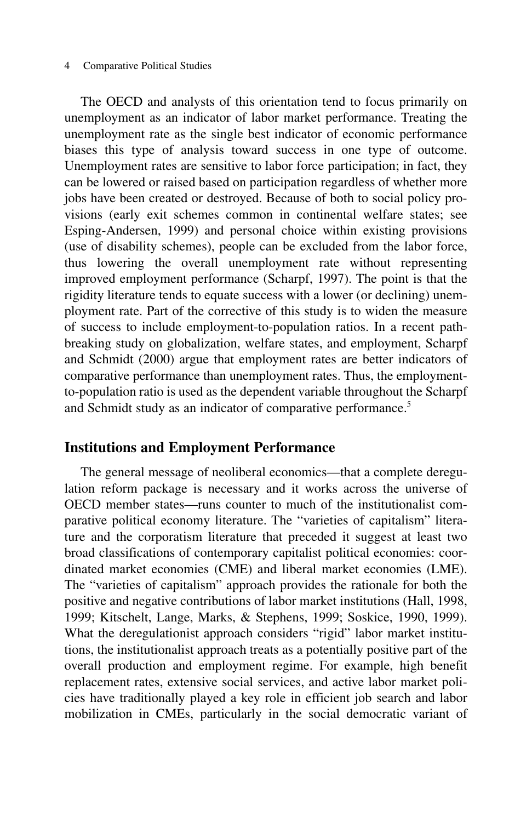The OECD and analysts of this orientation tend to focus primarily on unemployment as an indicator of labor market performance. Treating the unemployment rate as the single best indicator of economic performance biases this type of analysis toward success in one type of outcome. Unemployment rates are sensitive to labor force participation; in fact, they can be lowered or raised based on participation regardless of whether more jobs have been created or destroyed. Because of both to social policy provisions (early exit schemes common in continental welfare states; see Esping-Andersen, 1999) and personal choice within existing provisions (use of disability schemes), people can be excluded from the labor force, thus lowering the overall unemployment rate without representing improved employment performance (Scharpf, 1997). The point is that the rigidity literature tends to equate success with a lower (or declining) unemployment rate. Part of the corrective of this study is to widen the measure of success to include employment-to-population ratios. In a recent pathbreaking study on globalization, welfare states, and employment, Scharpf and Schmidt (2000) argue that employment rates are better indicators of comparative performance than unemployment rates. Thus, the employmentto-population ratio is used as the dependent variable throughout the Scharpf and Schmidt study as an indicator of comparative performance.<sup>5</sup>

#### **Institutions and Employment Performance**

The general message of neoliberal economics—that a complete deregulation reform package is necessary and it works across the universe of OECD member states—runs counter to much of the institutionalist comparative political economy literature. The "varieties of capitalism" literature and the corporatism literature that preceded it suggest at least two broad classifications of contemporary capitalist political economies: coordinated market economies (CME) and liberal market economies (LME). The "varieties of capitalism" approach provides the rationale for both the positive and negative contributions of labor market institutions (Hall, 1998, 1999; Kitschelt, Lange, Marks, & Stephens, 1999; Soskice, 1990, 1999). What the deregulationist approach considers "rigid" labor market institutions, the institutionalist approach treats as a potentially positive part of the overall production and employment regime. For example, high benefit replacement rates, extensive social services, and active labor market policies have traditionally played a key role in efficient job search and labor mobilization in CMEs, particularly in the social democratic variant of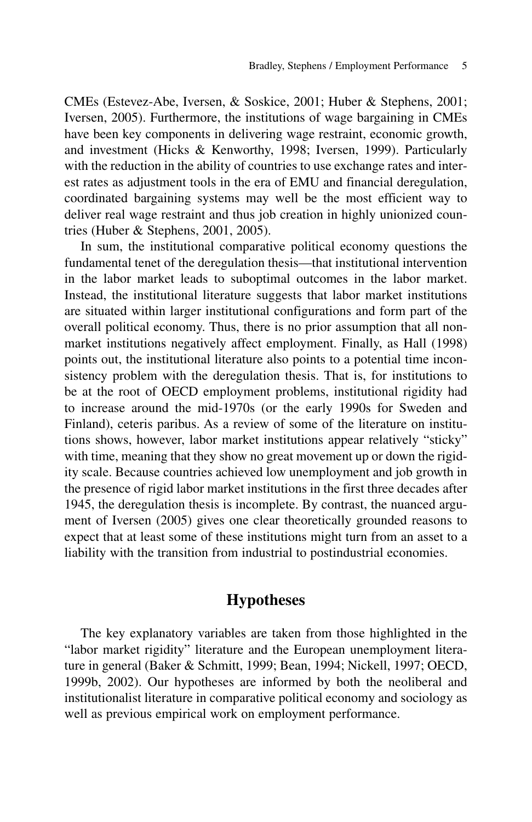CMEs (Estevez-Abe, Iversen, & Soskice, 2001; Huber & Stephens, 2001; Iversen, 2005). Furthermore, the institutions of wage bargaining in CMEs have been key components in delivering wage restraint, economic growth, and investment (Hicks & Kenworthy, 1998; Iversen, 1999). Particularly with the reduction in the ability of countries to use exchange rates and interest rates as adjustment tools in the era of EMU and financial deregulation, coordinated bargaining systems may well be the most efficient way to deliver real wage restraint and thus job creation in highly unionized countries (Huber & Stephens, 2001, 2005).

In sum, the institutional comparative political economy questions the fundamental tenet of the deregulation thesis—that institutional intervention in the labor market leads to suboptimal outcomes in the labor market. Instead, the institutional literature suggests that labor market institutions are situated within larger institutional configurations and form part of the overall political economy. Thus, there is no prior assumption that all nonmarket institutions negatively affect employment. Finally, as Hall (1998) points out, the institutional literature also points to a potential time inconsistency problem with the deregulation thesis. That is, for institutions to be at the root of OECD employment problems, institutional rigidity had to increase around the mid-1970s (or the early 1990s for Sweden and Finland), ceteris paribus. As a review of some of the literature on institutions shows, however, labor market institutions appear relatively "sticky" with time, meaning that they show no great movement up or down the rigidity scale. Because countries achieved low unemployment and job growth in the presence of rigid labor market institutions in the first three decades after 1945, the deregulation thesis is incomplete. By contrast, the nuanced argument of Iversen (2005) gives one clear theoretically grounded reasons to expect that at least some of these institutions might turn from an asset to a liability with the transition from industrial to postindustrial economies.

## **Hypotheses**

The key explanatory variables are taken from those highlighted in the "labor market rigidity" literature and the European unemployment literature in general (Baker & Schmitt, 1999; Bean, 1994; Nickell, 1997; OECD, 1999b, 2002). Our hypotheses are informed by both the neoliberal and institutionalist literature in comparative political economy and sociology as well as previous empirical work on employment performance.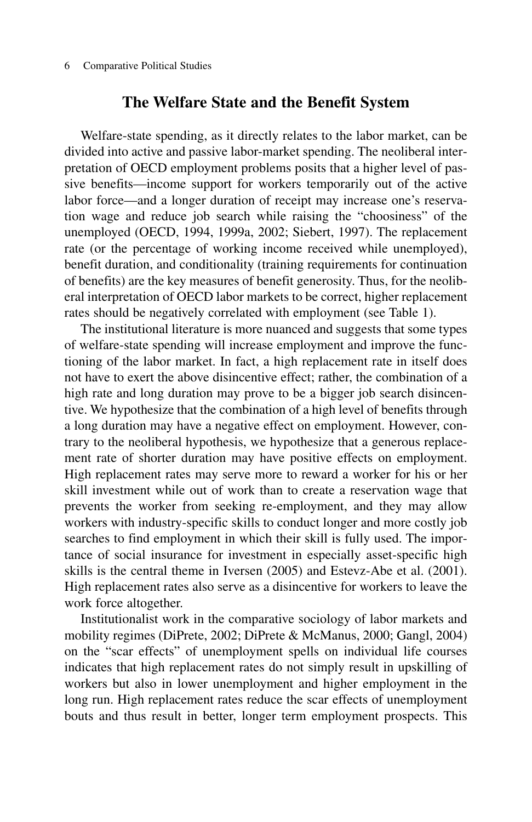## **The Welfare State and the Benefit System**

Welfare-state spending, as it directly relates to the labor market, can be divided into active and passive labor-market spending. The neoliberal interpretation of OECD employment problems posits that a higher level of passive benefits—income support for workers temporarily out of the active labor force—and a longer duration of receipt may increase one's reservation wage and reduce job search while raising the "choosiness" of the unemployed (OECD, 1994, 1999a, 2002; Siebert, 1997). The replacement rate (or the percentage of working income received while unemployed), benefit duration, and conditionality (training requirements for continuation of benefits) are the key measures of benefit generosity. Thus, for the neoliberal interpretation of OECD labor markets to be correct, higher replacement rates should be negatively correlated with employment (see Table 1).

The institutional literature is more nuanced and suggests that some types of welfare-state spending will increase employment and improve the functioning of the labor market. In fact, a high replacement rate in itself does not have to exert the above disincentive effect; rather, the combination of a high rate and long duration may prove to be a bigger job search disincentive. We hypothesize that the combination of a high level of benefits through a long duration may have a negative effect on employment. However, contrary to the neoliberal hypothesis, we hypothesize that a generous replacement rate of shorter duration may have positive effects on employment. High replacement rates may serve more to reward a worker for his or her skill investment while out of work than to create a reservation wage that prevents the worker from seeking re-employment, and they may allow workers with industry-specific skills to conduct longer and more costly job searches to find employment in which their skill is fully used. The importance of social insurance for investment in especially asset-specific high skills is the central theme in Iversen (2005) and Estevz-Abe et al. (2001). High replacement rates also serve as a disincentive for workers to leave the work force altogether.

Institutionalist work in the comparative sociology of labor markets and mobility regimes (DiPrete, 2002; DiPrete & McManus, 2000; Gangl, 2004) on the "scar effects" of unemployment spells on individual life courses indicates that high replacement rates do not simply result in upskilling of workers but also in lower unemployment and higher employment in the long run. High replacement rates reduce the scar effects of unemployment bouts and thus result in better, longer term employment prospects. This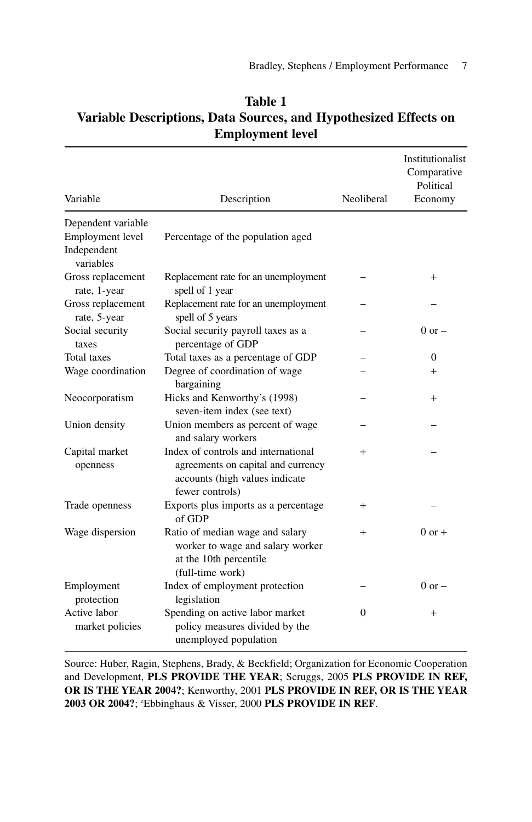| Variable                                     | Description                                                                                                                    | Neoliberal | Institutionalist<br>Comparative<br>Political<br>Economy |
|----------------------------------------------|--------------------------------------------------------------------------------------------------------------------------------|------------|---------------------------------------------------------|
| Dependent variable                           |                                                                                                                                |            |                                                         |
| Employment level<br>Independent<br>variables | Percentage of the population aged                                                                                              |            |                                                         |
| Gross replacement<br>rate, 1-year            | Replacement rate for an unemployment<br>spell of 1 year                                                                        |            | $+$                                                     |
| Gross replacement<br>rate, 5-year            | Replacement rate for an unemployment<br>spell of 5 years                                                                       |            |                                                         |
| Social security<br>taxes                     | Social security payroll taxes as a<br>percentage of GDP                                                                        |            | $0$ or $-$                                              |
| <b>Total</b> taxes                           | Total taxes as a percentage of GDP                                                                                             |            | $\Omega$                                                |
| Wage coordination                            | Degree of coordination of wage<br>bargaining                                                                                   |            | $^{+}$                                                  |
| Neocorporatism                               | Hicks and Kenworthy's (1998)<br>seven-item index (see text)                                                                    |            | $^{+}$                                                  |
| Union density                                | Union members as percent of wage<br>and salary workers                                                                         |            |                                                         |
| Capital market<br>openness                   | Index of controls and international<br>agreements on capital and currency<br>accounts (high values indicate<br>fewer controls) | $^{+}$     |                                                         |
| Trade openness                               | Exports plus imports as a percentage<br>of GDP                                                                                 | $+$        |                                                         |
| Wage dispersion                              | Ratio of median wage and salary<br>worker to wage and salary worker<br>at the 10th percentile<br>(full-time work)              | $+$        | $0$ or $+$                                              |
| Employment<br>protection                     | Index of employment protection<br>legislation                                                                                  |            | $0$ or $-$                                              |
| Active labor<br>market policies              | Spending on active labor market<br>policy measures divided by the<br>unemployed population                                     | $\Omega$   | $+$                                                     |

## **Table 1 Variable Descriptions, Data Sources, and Hypothesized Effects on Employment level**

Source: Huber, Ragin, Stephens, Brady, & Beckfield; Organization for Economic Cooperation and Development, **PLS PROVIDE THE YEAR**; Scruggs, 2005 **PLS PROVIDE IN REF, OR IS THE YEAR 2004?**; Kenworthy, 2001 **PLS PROVIDE IN REF, OR IS THE YEAR 2003 OR 2004?**; e Ebbinghaus & Visser, 2000 **PLS PROVIDE IN REF**.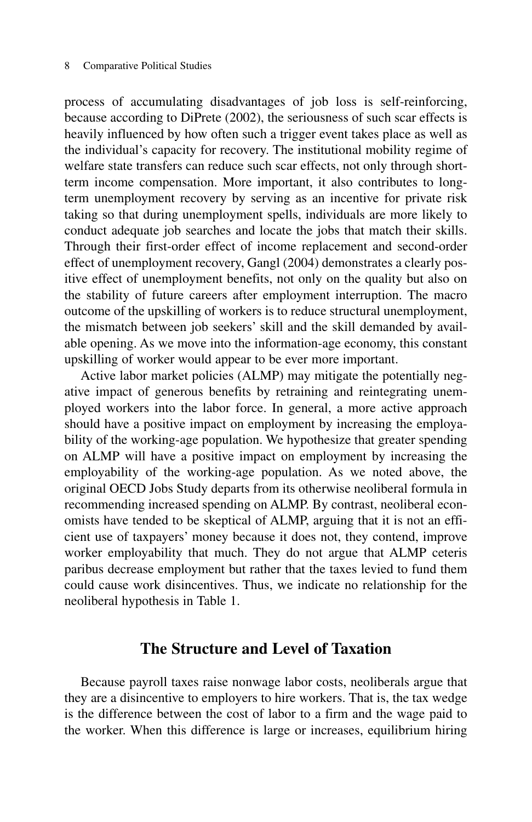process of accumulating disadvantages of job loss is self-reinforcing, because according to DiPrete (2002), the seriousness of such scar effects is heavily influenced by how often such a trigger event takes place as well as the individual's capacity for recovery. The institutional mobility regime of welfare state transfers can reduce such scar effects, not only through shortterm income compensation. More important, it also contributes to longterm unemployment recovery by serving as an incentive for private risk taking so that during unemployment spells, individuals are more likely to conduct adequate job searches and locate the jobs that match their skills. Through their first-order effect of income replacement and second-order effect of unemployment recovery, Gangl (2004) demonstrates a clearly positive effect of unemployment benefits, not only on the quality but also on the stability of future careers after employment interruption. The macro outcome of the upskilling of workers is to reduce structural unemployment, the mismatch between job seekers' skill and the skill demanded by available opening. As we move into the information-age economy, this constant upskilling of worker would appear to be ever more important.

Active labor market policies (ALMP) may mitigate the potentially negative impact of generous benefits by retraining and reintegrating unemployed workers into the labor force. In general, a more active approach should have a positive impact on employment by increasing the employability of the working-age population. We hypothesize that greater spending on ALMP will have a positive impact on employment by increasing the employability of the working-age population. As we noted above, the original OECD Jobs Study departs from its otherwise neoliberal formula in recommending increased spending on ALMP. By contrast, neoliberal economists have tended to be skeptical of ALMP, arguing that it is not an efficient use of taxpayers' money because it does not, they contend, improve worker employability that much. They do not argue that ALMP ceteris paribus decrease employment but rather that the taxes levied to fund them could cause work disincentives. Thus, we indicate no relationship for the neoliberal hypothesis in Table 1.

#### **The Structure and Level of Taxation**

Because payroll taxes raise nonwage labor costs, neoliberals argue that they are a disincentive to employers to hire workers. That is, the tax wedge is the difference between the cost of labor to a firm and the wage paid to the worker. When this difference is large or increases, equilibrium hiring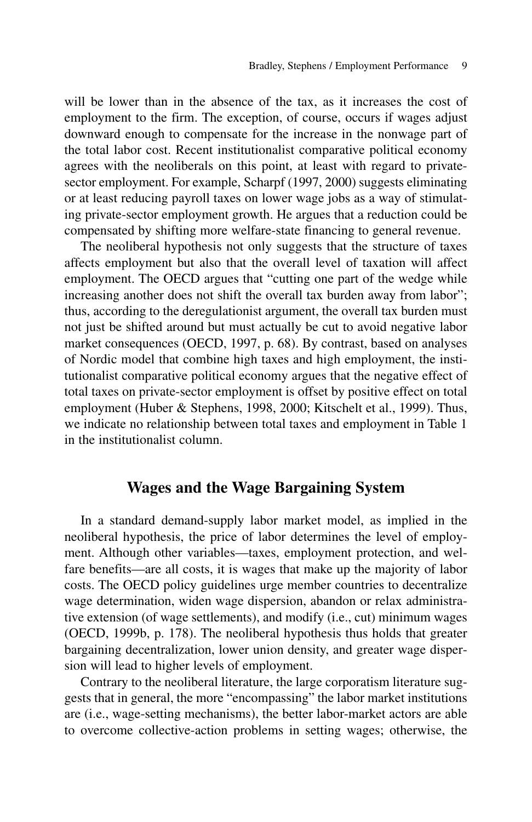will be lower than in the absence of the tax, as it increases the cost of employment to the firm. The exception, of course, occurs if wages adjust downward enough to compensate for the increase in the nonwage part of the total labor cost. Recent institutionalist comparative political economy agrees with the neoliberals on this point, at least with regard to privatesector employment. For example, Scharpf (1997, 2000) suggests eliminating or at least reducing payroll taxes on lower wage jobs as a way of stimulating private-sector employment growth. He argues that a reduction could be compensated by shifting more welfare-state financing to general revenue.

The neoliberal hypothesis not only suggests that the structure of taxes affects employment but also that the overall level of taxation will affect employment. The OECD argues that "cutting one part of the wedge while increasing another does not shift the overall tax burden away from labor"; thus, according to the deregulationist argument, the overall tax burden must not just be shifted around but must actually be cut to avoid negative labor market consequences (OECD, 1997, p. 68). By contrast, based on analyses of Nordic model that combine high taxes and high employment, the institutionalist comparative political economy argues that the negative effect of total taxes on private-sector employment is offset by positive effect on total employment (Huber & Stephens, 1998, 2000; Kitschelt et al., 1999). Thus, we indicate no relationship between total taxes and employment in Table 1 in the institutionalist column.

#### **Wages and the Wage Bargaining System**

In a standard demand-supply labor market model, as implied in the neoliberal hypothesis, the price of labor determines the level of employment. Although other variables—taxes, employment protection, and welfare benefits—are all costs, it is wages that make up the majority of labor costs. The OECD policy guidelines urge member countries to decentralize wage determination, widen wage dispersion, abandon or relax administrative extension (of wage settlements), and modify (i.e., cut) minimum wages (OECD, 1999b, p. 178). The neoliberal hypothesis thus holds that greater bargaining decentralization, lower union density, and greater wage dispersion will lead to higher levels of employment.

Contrary to the neoliberal literature, the large corporatism literature suggests that in general, the more "encompassing" the labor market institutions are (i.e., wage-setting mechanisms), the better labor-market actors are able to overcome collective-action problems in setting wages; otherwise, the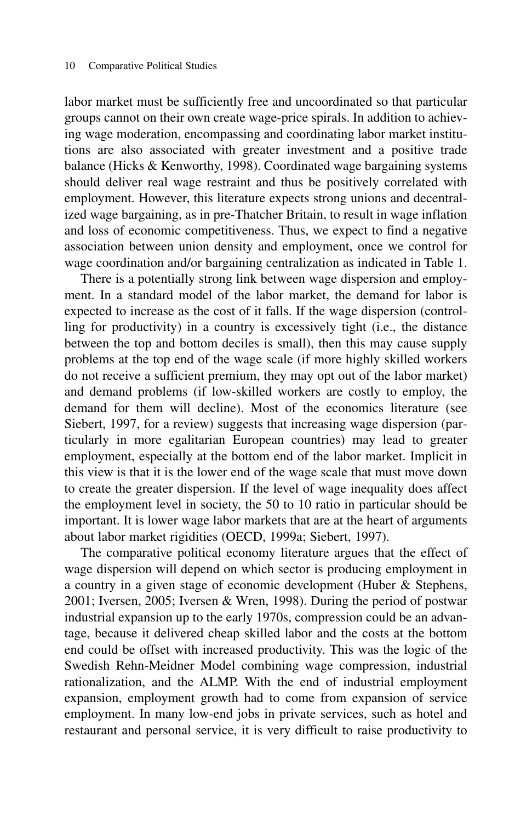labor market must be sufficiently free and uncoordinated so that particular groups cannot on their own create wage-price spirals. In addition to achieving wage moderation, encompassing and coordinating labor market institutions are also associated with greater investment and a positive trade balance (Hicks & Kenworthy, 1998). Coordinated wage bargaining systems should deliver real wage restraint and thus be positively correlated with employment. However, this literature expects strong unions and decentralized wage bargaining, as in pre-Thatcher Britain, to result in wage inflation and loss of economic competitiveness. Thus, we expect to find a negative association between union density and employment, once we control for wage coordination and/or bargaining centralization as indicated in Table 1.

There is a potentially strong link between wage dispersion and employment. In a standard model of the labor market, the demand for labor is expected to increase as the cost of it falls. If the wage dispersion (controlling for productivity) in a country is excessively tight (i.e., the distance between the top and bottom deciles is small), then this may cause supply problems at the top end of the wage scale (if more highly skilled workers do not receive a sufficient premium, they may opt out of the labor market) and demand problems (if low-skilled workers are costly to employ, the demand for them will decline). Most of the economics literature (see Siebert, 1997, for a review) suggests that increasing wage dispersion (particularly in more egalitarian European countries) may lead to greater employment, especially at the bottom end of the labor market. Implicit in this view is that it is the lower end of the wage scale that must move down to create the greater dispersion. If the level of wage inequality does affect the employment level in society, the 50 to 10 ratio in particular should be important. It is lower wage labor markets that are at the heart of arguments about labor market rigidities (OECD, 1999a; Siebert, 1997).

The comparative political economy literature argues that the effect of wage dispersion will depend on which sector is producing employment in a country in a given stage of economic development (Huber & Stephens, 2001; Iversen, 2005; Iversen & Wren, 1998). During the period of postwar industrial expansion up to the early 1970s, compression could be an advantage, because it delivered cheap skilled labor and the costs at the bottom end could be offset with increased productivity. This was the logic of the Swedish Rehn-Meidner Model combining wage compression, industrial rationalization, and the ALMP. With the end of industrial employment expansion, employment growth had to come from expansion of service employment. In many low-end jobs in private services, such as hotel and restaurant and personal service, it is very difficult to raise productivity to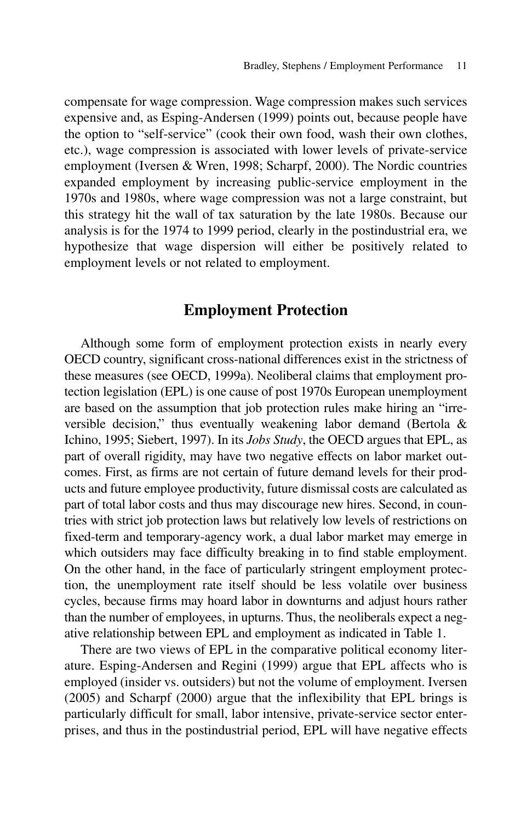compensate for wage compression. Wage compression makes such services expensive and, as Esping-Andersen (1999) points out, because people have the option to "self-service" (cook their own food, wash their own clothes, etc.), wage compression is associated with lower levels of private-service employment (Iversen & Wren, 1998; Scharpf, 2000). The Nordic countries expanded employment by increasing public-service employment in the 1970s and 1980s, where wage compression was not a large constraint, but this strategy hit the wall of tax saturation by the late 1980s. Because our analysis is for the 1974 to 1999 period, clearly in the postindustrial era, we hypothesize that wage dispersion will either be positively related to employment levels or not related to employment.

#### **Employment Protection**

Although some form of employment protection exists in nearly every OECD country, significant cross-national differences exist in the strictness of these measures (see OECD, 1999a). Neoliberal claims that employment protection legislation (EPL) is one cause of post 1970s European unemployment are based on the assumption that job protection rules make hiring an "irreversible decision," thus eventually weakening labor demand (Bertola & Ichino, 1995; Siebert, 1997). In its *Jobs Study*, the OECD argues that EPL, as part of overall rigidity, may have two negative effects on labor market outcomes. First, as firms are not certain of future demand levels for their products and future employee productivity, future dismissal costs are calculated as part of total labor costs and thus may discourage new hires. Second, in countries with strict job protection laws but relatively low levels of restrictions on fixed-term and temporary-agency work, a dual labor market may emerge in which outsiders may face difficulty breaking in to find stable employment. On the other hand, in the face of particularly stringent employment protection, the unemployment rate itself should be less volatile over business cycles, because firms may hoard labor in downturns and adjust hours rather than the number of employees, in upturns. Thus, the neoliberals expect a negative relationship between EPL and employment as indicated in Table 1.

There are two views of EPL in the comparative political economy literature. Esping-Andersen and Regini (1999) argue that EPL affects who is employed (insider vs. outsiders) but not the volume of employment. Iversen (2005) and Scharpf (2000) argue that the inflexibility that EPL brings is particularly difficult for small, labor intensive, private-service sector enterprises, and thus in the postindustrial period, EPL will have negative effects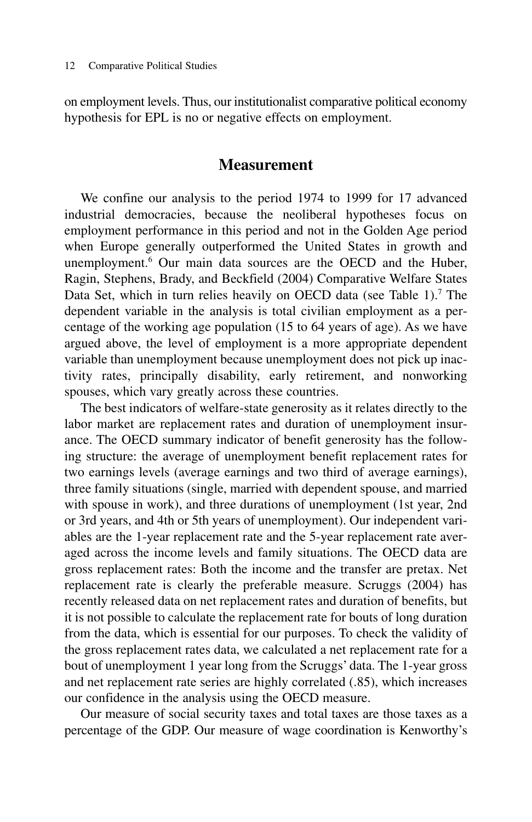on employment levels. Thus, our institutionalist comparative political economy hypothesis for EPL is no or negative effects on employment.

#### **Measurement**

We confine our analysis to the period 1974 to 1999 for 17 advanced industrial democracies, because the neoliberal hypotheses focus on employment performance in this period and not in the Golden Age period when Europe generally outperformed the United States in growth and unemployment.<sup>6</sup> Our main data sources are the OECD and the Huber, Ragin, Stephens, Brady, and Beckfield (2004) Comparative Welfare States Data Set, which in turn relies heavily on OECD data (see Table 1).<sup>7</sup> The dependent variable in the analysis is total civilian employment as a percentage of the working age population (15 to 64 years of age). As we have argued above, the level of employment is a more appropriate dependent variable than unemployment because unemployment does not pick up inactivity rates, principally disability, early retirement, and nonworking spouses, which vary greatly across these countries.

The best indicators of welfare-state generosity as it relates directly to the labor market are replacement rates and duration of unemployment insurance. The OECD summary indicator of benefit generosity has the following structure: the average of unemployment benefit replacement rates for two earnings levels (average earnings and two third of average earnings), three family situations (single, married with dependent spouse, and married with spouse in work), and three durations of unemployment (1st year, 2nd or 3rd years, and 4th or 5th years of unemployment). Our independent variables are the 1-year replacement rate and the 5-year replacement rate averaged across the income levels and family situations. The OECD data are gross replacement rates: Both the income and the transfer are pretax. Net replacement rate is clearly the preferable measure. Scruggs (2004) has recently released data on net replacement rates and duration of benefits, but it is not possible to calculate the replacement rate for bouts of long duration from the data, which is essential for our purposes. To check the validity of the gross replacement rates data, we calculated a net replacement rate for a bout of unemployment 1 year long from the Scruggs' data. The 1-year gross and net replacement rate series are highly correlated (.85), which increases our confidence in the analysis using the OECD measure.

Our measure of social security taxes and total taxes are those taxes as a percentage of the GDP. Our measure of wage coordination is Kenworthy's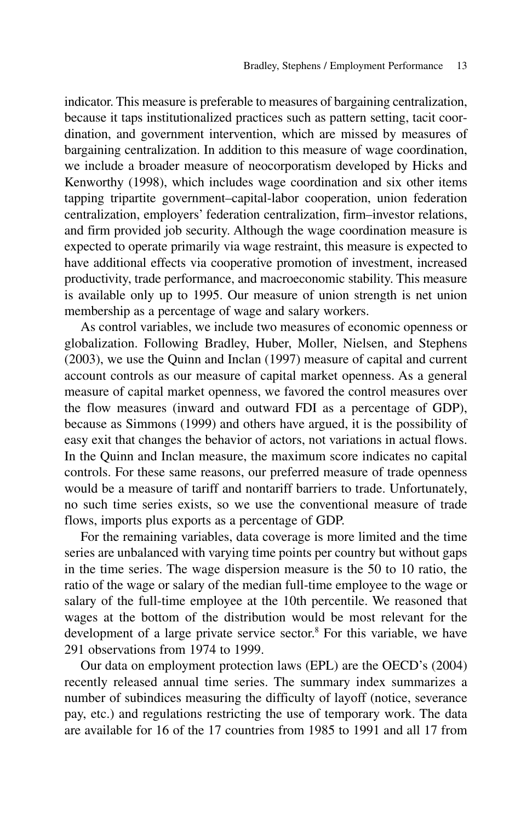indicator. This measure is preferable to measures of bargaining centralization, because it taps institutionalized practices such as pattern setting, tacit coordination, and government intervention, which are missed by measures of bargaining centralization. In addition to this measure of wage coordination, we include a broader measure of neocorporatism developed by Hicks and Kenworthy (1998), which includes wage coordination and six other items tapping tripartite government–capital-labor cooperation, union federation centralization, employers' federation centralization, firm–investor relations, and firm provided job security. Although the wage coordination measure is expected to operate primarily via wage restraint, this measure is expected to have additional effects via cooperative promotion of investment, increased productivity, trade performance, and macroeconomic stability. This measure is available only up to 1995. Our measure of union strength is net union membership as a percentage of wage and salary workers.

As control variables, we include two measures of economic openness or globalization. Following Bradley, Huber, Moller, Nielsen, and Stephens (2003), we use the Quinn and Inclan (1997) measure of capital and current account controls as our measure of capital market openness. As a general measure of capital market openness, we favored the control measures over the flow measures (inward and outward FDI as a percentage of GDP), because as Simmons (1999) and others have argued, it is the possibility of easy exit that changes the behavior of actors, not variations in actual flows. In the Quinn and Inclan measure, the maximum score indicates no capital controls. For these same reasons, our preferred measure of trade openness would be a measure of tariff and nontariff barriers to trade. Unfortunately, no such time series exists, so we use the conventional measure of trade flows, imports plus exports as a percentage of GDP.

For the remaining variables, data coverage is more limited and the time series are unbalanced with varying time points per country but without gaps in the time series. The wage dispersion measure is the 50 to 10 ratio, the ratio of the wage or salary of the median full-time employee to the wage or salary of the full-time employee at the 10th percentile. We reasoned that wages at the bottom of the distribution would be most relevant for the development of a large private service sector.8 For this variable, we have 291 observations from 1974 to 1999.

Our data on employment protection laws (EPL) are the OECD's (2004) recently released annual time series. The summary index summarizes a number of subindices measuring the difficulty of layoff (notice, severance pay, etc.) and regulations restricting the use of temporary work. The data are available for 16 of the 17 countries from 1985 to 1991 and all 17 from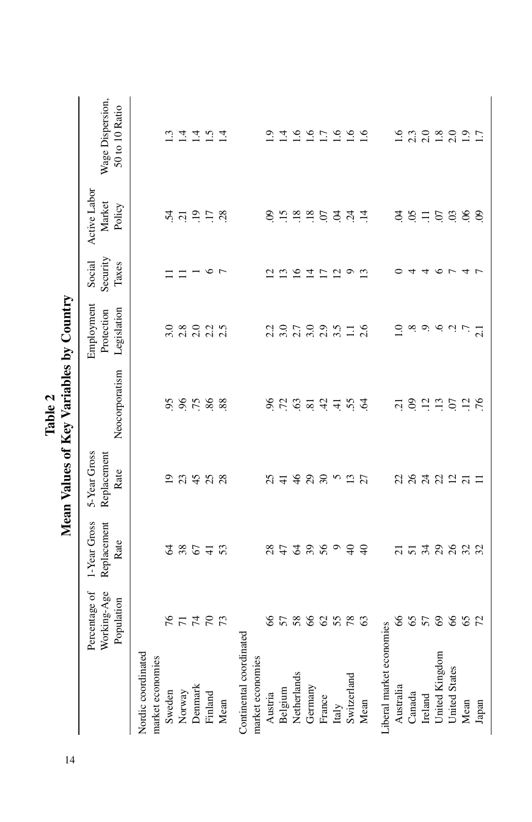|                          |                                            |                                     |                                     | Mean Values of Key Variables by Country |                                                                                                                                                                                       |                               |                                                                                                                                              |                                    |
|--------------------------|--------------------------------------------|-------------------------------------|-------------------------------------|-----------------------------------------|---------------------------------------------------------------------------------------------------------------------------------------------------------------------------------------|-------------------------------|----------------------------------------------------------------------------------------------------------------------------------------------|------------------------------------|
|                          | Working-Age<br>Percentage of<br>Population | 1-Year Gross<br>Replacement<br>Rate | 5-Year Gross<br>Replacement<br>Rate | Neocorporatism                          | Employment<br>Legislation<br>Protection                                                                                                                                               | Security<br>Social<br>Taxes   | Active Labor<br>Market<br>Policy                                                                                                             | Wage Dispersion,<br>50 to 10 Ratio |
| Nordic coordinated       |                                            |                                     |                                     |                                         |                                                                                                                                                                                       |                               |                                                                                                                                              |                                    |
| market economies         |                                            |                                     |                                     |                                         |                                                                                                                                                                                       |                               |                                                                                                                                              |                                    |
| Sweden                   |                                            | 2                                   | $\overline{0}$                      | 95                                      | 3.0                                                                                                                                                                                   |                               |                                                                                                                                              | $\frac{13}{2}$                     |
| Norway                   |                                            | 38<br>67                            | 23                                  |                                         | 2.8                                                                                                                                                                                   |                               |                                                                                                                                              |                                    |
| Denmark                  | <b>ALASH</b>                               |                                     | 45                                  | 6,75                                    |                                                                                                                                                                                       |                               | $\vec{r}$ is $\vec{v}$ is $\vec{r}$ is $\vec{r}$                                                                                             | $\frac{4}{14}$                     |
| Finland                  |                                            | $\frac{1}{4}$                       | 25                                  | 86                                      | 2.2                                                                                                                                                                                   | $\circ$                       |                                                                                                                                              | 1.5                                |
| Mean                     |                                            | 53                                  |                                     | 88                                      | 2.5                                                                                                                                                                                   | $\overline{7}$                |                                                                                                                                              | $\overline{14}$                    |
| Continental coordinated  |                                            |                                     |                                     |                                         |                                                                                                                                                                                       |                               |                                                                                                                                              |                                    |
| market economies         |                                            |                                     |                                     |                                         |                                                                                                                                                                                       |                               |                                                                                                                                              |                                    |
| Austria                  | 89                                         | 28                                  | 25                                  |                                         |                                                                                                                                                                                       |                               | $\odot$                                                                                                                                      | $\overline{1.9}$                   |
| Belgium                  |                                            | 47                                  | $\overline{4}$                      | 8.788                                   | $\frac{2}{3}$ .0                                                                                                                                                                      | $\frac{2}{3}$                 |                                                                                                                                              | $\overline{14}$                    |
| Netherlands              | 5788                                       | $\mathcal{L}$                       | 46                                  |                                         | $2.7$<br>$3.0$                                                                                                                                                                        | 16                            |                                                                                                                                              |                                    |
| Germany                  |                                            | 28099                               | 29                                  |                                         |                                                                                                                                                                                       | $\overline{4}$                | 1, 2, 3, 6                                                                                                                                   | $1.6$<br>$1.7$                     |
| France                   |                                            |                                     |                                     |                                         | 2.9                                                                                                                                                                                   | $\overline{C}$                |                                                                                                                                              |                                    |
| Italy                    | 62578                                      |                                     | 52                                  | 4.45                                    | 3.5                                                                                                                                                                                   | $\overline{5}$ $\overline{9}$ | ਤ ਨ੍                                                                                                                                         |                                    |
| Switzerland              |                                            |                                     |                                     |                                         | $\Box$                                                                                                                                                                                |                               |                                                                                                                                              | $\frac{6}{1.6}$                    |
| Mean                     | 63                                         | $\Theta$                            | 27                                  | $\mathfrak{L}$                          | 2.6                                                                                                                                                                                   | $\tilde{\epsilon}$            | $\overline{4}$                                                                                                                               | 1.6                                |
| Liberal market economies |                                            |                                     |                                     |                                         |                                                                                                                                                                                       |                               |                                                                                                                                              |                                    |
| Australia                |                                            |                                     |                                     |                                         | Q                                                                                                                                                                                     |                               |                                                                                                                                              |                                    |
| Canada                   |                                            |                                     |                                     |                                         |                                                                                                                                                                                       | $\overline{4}$                |                                                                                                                                              | $\frac{16}{2.3}$                   |
| Ireland                  |                                            |                                     |                                     |                                         |                                                                                                                                                                                       | 4                             |                                                                                                                                              | 2.0                                |
| United Kingdom           | 86588                                      |                                     | <b>2822525</b>                      | 583553                                  | $\begin{array}{c} \infty \end{array} \begin{array}{c} \infty \end{array} \begin{array}{c} \infty \end{array} \begin{array}{c} \infty \end{array} \begin{array}{c} \infty \end{array}$ | $\sigma$ $\sim$               | $\ddot{q}$ , $\ddot{q}$ , $\ddot{q}$ , $\ddot{q}$ , $\ddot{q}$ , $\ddot{q}$ , $\ddot{q}$ , $\ddot{q}$ , $\ddot{q}$ , $\ddot{q}$ , $\ddot{q}$ | $1.8$<br>$2.0$<br>$1.9$            |
| United States            |                                            |                                     |                                     |                                         |                                                                                                                                                                                       |                               |                                                                                                                                              |                                    |
| Mean                     | 65                                         |                                     |                                     |                                         |                                                                                                                                                                                       | $\overline{4}$                |                                                                                                                                              |                                    |
| Japan                    |                                            |                                     | $\Xi$                               | 76                                      | 2.1                                                                                                                                                                                   |                               | $\infty$                                                                                                                                     | 1.7                                |

 $\frac{c}{\epsilon}$ Table 2<br>Mean Values of Key Variables h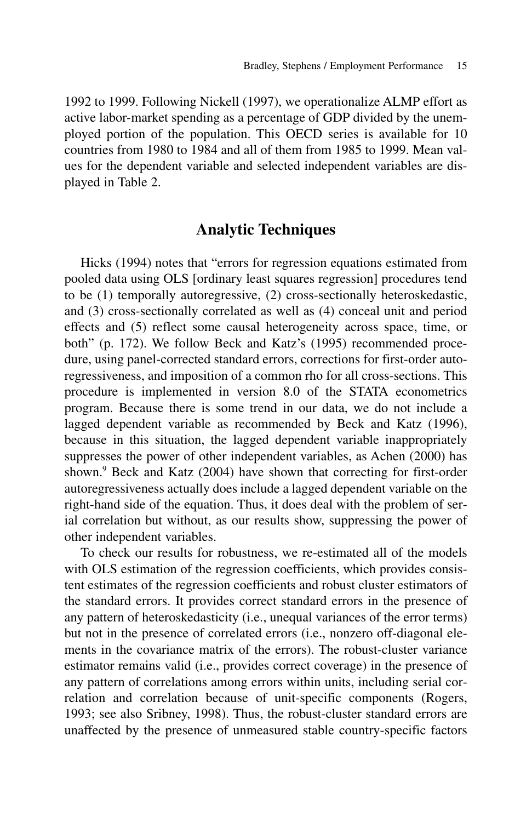1992 to 1999. Following Nickell (1997), we operationalize ALMP effort as active labor-market spending as a percentage of GDP divided by the unemployed portion of the population. This OECD series is available for 10 countries from 1980 to 1984 and all of them from 1985 to 1999. Mean values for the dependent variable and selected independent variables are displayed in Table 2.

## **Analytic Techniques**

Hicks (1994) notes that "errors for regression equations estimated from pooled data using OLS [ordinary least squares regression] procedures tend to be (1) temporally autoregressive, (2) cross-sectionally heteroskedastic, and (3) cross-sectionally correlated as well as (4) conceal unit and period effects and (5) reflect some causal heterogeneity across space, time, or both" (p. 172). We follow Beck and Katz's (1995) recommended procedure, using panel-corrected standard errors, corrections for first-order autoregressiveness, and imposition of a common rho for all cross-sections. This procedure is implemented in version 8.0 of the STATA econometrics program. Because there is some trend in our data, we do not include a lagged dependent variable as recommended by Beck and Katz (1996), because in this situation, the lagged dependent variable inappropriately suppresses the power of other independent variables, as Achen (2000) has shown.9 Beck and Katz (2004) have shown that correcting for first-order autoregressiveness actually does include a lagged dependent variable on the right-hand side of the equation. Thus, it does deal with the problem of serial correlation but without, as our results show, suppressing the power of other independent variables.

To check our results for robustness, we re-estimated all of the models with OLS estimation of the regression coefficients, which provides consistent estimates of the regression coefficients and robust cluster estimators of the standard errors. It provides correct standard errors in the presence of any pattern of heteroskedasticity (i.e., unequal variances of the error terms) but not in the presence of correlated errors (i.e., nonzero off-diagonal elements in the covariance matrix of the errors). The robust-cluster variance estimator remains valid (i.e., provides correct coverage) in the presence of any pattern of correlations among errors within units, including serial correlation and correlation because of unit-specific components (Rogers, 1993; see also Sribney, 1998). Thus, the robust-cluster standard errors are unaffected by the presence of unmeasured stable country-specific factors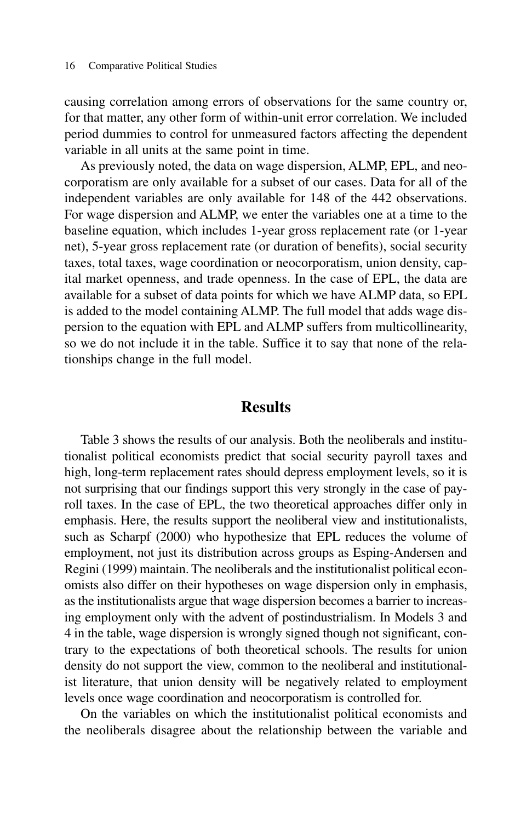causing correlation among errors of observations for the same country or, for that matter, any other form of within-unit error correlation. We included period dummies to control for unmeasured factors affecting the dependent variable in all units at the same point in time.

As previously noted, the data on wage dispersion, ALMP, EPL, and neocorporatism are only available for a subset of our cases. Data for all of the independent variables are only available for 148 of the 442 observations. For wage dispersion and ALMP, we enter the variables one at a time to the baseline equation, which includes 1-year gross replacement rate (or 1-year net), 5-year gross replacement rate (or duration of benefits), social security taxes, total taxes, wage coordination or neocorporatism, union density, capital market openness, and trade openness. In the case of EPL, the data are available for a subset of data points for which we have ALMP data, so EPL is added to the model containing ALMP. The full model that adds wage dispersion to the equation with EPL and ALMP suffers from multicollinearity, so we do not include it in the table. Suffice it to say that none of the relationships change in the full model.

#### **Results**

Table 3 shows the results of our analysis. Both the neoliberals and institutionalist political economists predict that social security payroll taxes and high, long-term replacement rates should depress employment levels, so it is not surprising that our findings support this very strongly in the case of payroll taxes. In the case of EPL, the two theoretical approaches differ only in emphasis. Here, the results support the neoliberal view and institutionalists, such as Scharpf (2000) who hypothesize that EPL reduces the volume of employment, not just its distribution across groups as Esping-Andersen and Regini (1999) maintain. The neoliberals and the institutionalist political economists also differ on their hypotheses on wage dispersion only in emphasis, as the institutionalists argue that wage dispersion becomes a barrier to increasing employment only with the advent of postindustrialism. In Models 3 and 4 in the table, wage dispersion is wrongly signed though not significant, contrary to the expectations of both theoretical schools. The results for union density do not support the view, common to the neoliberal and institutionalist literature, that union density will be negatively related to employment levels once wage coordination and neocorporatism is controlled for.

On the variables on which the institutionalist political economists and the neoliberals disagree about the relationship between the variable and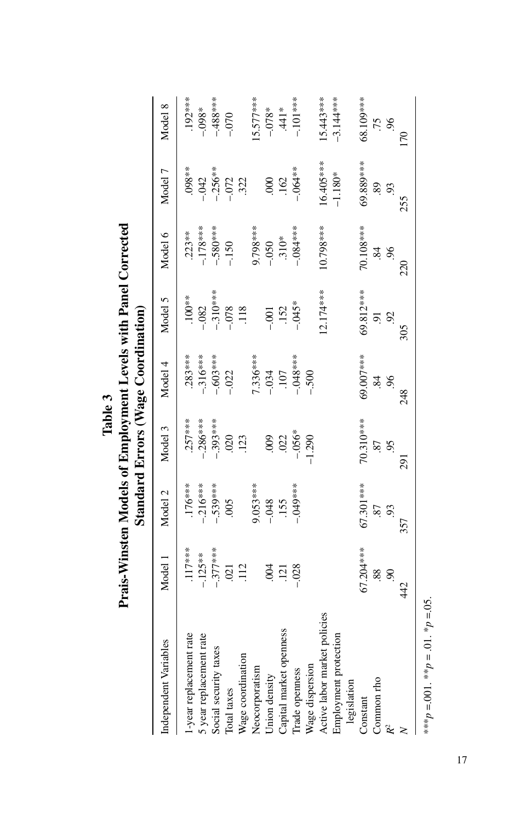| Independent Variables   | Model 1                                                                | Model 2                                 | Model 3                                             | Model 4                                     | Model 5                                             | Model 6                                   | Model 7                                                              | Model 8                                 |
|-------------------------|------------------------------------------------------------------------|-----------------------------------------|-----------------------------------------------------|---------------------------------------------|-----------------------------------------------------|-------------------------------------------|----------------------------------------------------------------------|-----------------------------------------|
| 1-year replacement rate |                                                                        |                                         |                                                     |                                             |                                                     |                                           |                                                                      |                                         |
| 5 year replacement rate |                                                                        |                                         |                                                     |                                             |                                                     |                                           |                                                                      |                                         |
| Social security taxes   |                                                                        |                                         |                                                     |                                             |                                                     |                                           |                                                                      |                                         |
| Total taxes             | $\begin{array}{c} .117*** \\ -.125*** \\ -.377*** \\ .021 \end{array}$ | .176***<br>--216***<br>--539***<br>.005 | $-257***$<br>$-286***$<br>$-393***$<br>$020$<br>020 | $.283***$<br>--316***<br>--603****<br>--022 | $-100**$<br>$-082$<br>$-310***$<br>$-078$<br>$-118$ | $.223**$<br>-.178***<br>-.580***<br>-.150 | $\begin{array}{r} .098**\ -042\ -356**\ -1256**\ -1256**\end{array}$ | .192***<br>-.098*<br>-.488***<br>-.070  |
| Wage coordination       |                                                                        |                                         |                                                     |                                             |                                                     |                                           |                                                                      |                                         |
| Veocorporatism          |                                                                        |                                         |                                                     |                                             |                                                     |                                           |                                                                      |                                         |
| Union density           | $rac{0}{121}$                                                          | $9.053***$<br>-.048<br>-.155            |                                                     | $7.336***$<br>-.034<br>-.034                | $-0.001$                                            | 9.798***<br>-.050<br>-.310*               |                                                                      | $-5.577***$<br>$-0.78***$<br>$-0.78***$ |
| Capital market openness |                                                                        |                                         |                                                     |                                             |                                                     |                                           | $000$<br>$000$                                                       |                                         |

Trade openness –.028 –.049\*\*\* –.056\* –.048\*\*\* –.045\* –.084\*\*\* –.064\*\* –.101\*\*\*

 $-.056*$ 

 $-.049***$ 

 $-028$ 

 $-1.290$ 

 $-0.048***$  $-.500$ 

 $-.101***$ 

 $-0.064**$ 

 $-0.084***$ 

 $-0.045*$ 

 $15.443***$ 

16.405\*\*\*

 $10.798***$ 

 $12.174***$ 

 $-3.144***$ 

 $-1.180*$ 

68.109\*\*\*

69.889\*\*\*

70.108\*\*\*

69.812\*\*\*\*

.75  $96$  $\overline{0}$ 

89  $93$ 255

 $\overline{84}$  $96$ 220

92  $\overline{6}$ 

 $305$ 

Active labor market policies 16.443\*\*\*\* 16.443\*\*\* 16.443\*\*\* 16.443\*\*\* 16.443\*\*\* 16.443\*\* 16.443\*\* 15.443\*\* 15.443\*\* Employment protection –1.180\* –3.144\*\*\* Constant 68.108\*\*\*\* 68\*\*\*\* 70.108 69.4\*\*\* 67.31.310.00 69.\*\*\*\* 10.7.310.007.701.707.701 69.7\*\*\* 68.4\*\* 68.21.20 Common red to the common red to the common red to the common red to the common red to the common red to the co *R*2 .90 .93 .95 .96 .92 .96 .93 .96 *N* 442 442 357 291 2948 248 305 305 220 220 225

70.310\*\*\*

67.301 \*\*\*

67.204\*\*\*

69.007\*\*\*

 $\ddot{\mathcal{S}}$  $\overline{6}$ 248

.87 95 291

87 93 357

 $90$ 88.

42

 $\frac{1}{2}$ age dispersion –  $-1.290$ 

legislation

Common rho

 $R^2$  $\geq$ 

Constant

Active labor market policies

Wage dispersion Trade openness

Employment protection

\*\*\* $p = 0.01$ . \*\* $p = 0.1$ . \* $p = 0.05$ .  $*^{**}p = 0.01.*^{*}p = .01.*^{*}p = .05.$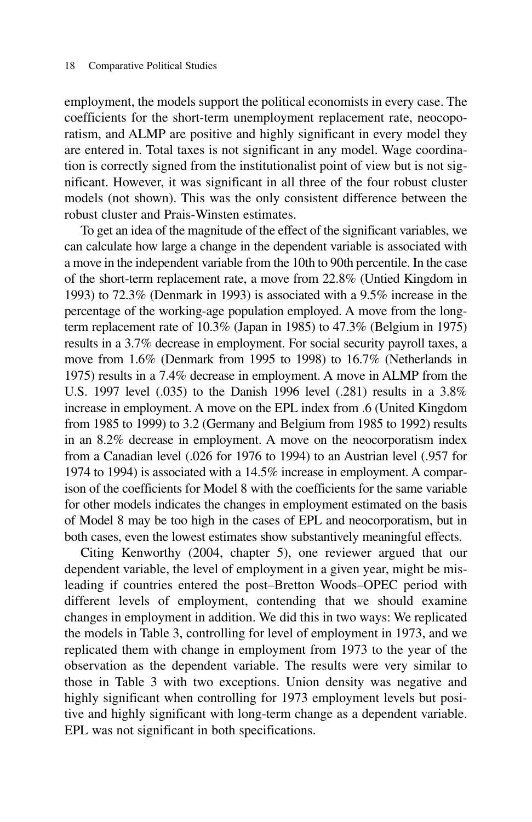employment, the models support the political economists in every case. The coefficients for the short-term unemployment replacement rate, neocoporatism, and ALMP are positive and highly significant in every model they are entered in. Total taxes is not significant in any model. Wage coordination is correctly signed from the institutionalist point of view but is not significant. However, it was significant in all three of the four robust cluster models (not shown). This was the only consistent difference between the robust cluster and Prais-Winsten estimates.

To get an idea of the magnitude of the effect of the significant variables, we can calculate how large a change in the dependent variable is associated with a move in the independent variable from the 10th to 90th percentile. In the case of the short-term replacement rate, a move from 22.8% (Untied Kingdom in 1993) to 72.3% (Denmark in 1993) is associated with a 9.5% increase in the percentage of the working-age population employed. A move from the longterm replacement rate of 10.3% (Japan in 1985) to 47.3% (Belgium in 1975) results in a 3.7% decrease in employment. For social security payroll taxes, a move from 1.6% (Denmark from 1995 to 1998) to 16.7% (Netherlands in 1975) results in a 7.4% decrease in employment. A move in ALMP from the U.S. 1997 level (.035) to the Danish 1996 level (.281) results in a 3.8% increase in employment. A move on the EPL index from .6 (United Kingdom from 1985 to 1999) to 3.2 (Germany and Belgium from 1985 to 1992) results in an 8.2% decrease in employment. A move on the neocorporatism index from a Canadian level (.026 for 1976 to 1994) to an Austrian level (.957 for 1974 to 1994) is associated with a 14.5% increase in employment. A comparison of the coefficients for Model 8 with the coefficients for the same variable for other models indicates the changes in employment estimated on the basis of Model 8 may be too high in the cases of EPL and neocorporatism, but in both cases, even the lowest estimates show substantively meaningful effects.

Citing Kenworthy (2004, chapter 5), one reviewer argued that our dependent variable, the level of employment in a given year, might be misleading if countries entered the post–Bretton Woods–OPEC period with different levels of employment, contending that we should examine changes in employment in addition. We did this in two ways: We replicated the models in Table 3, controlling for level of employment in 1973, and we replicated them with change in employment from 1973 to the year of the observation as the dependent variable. The results were very similar to those in Table 3 with two exceptions. Union density was negative and highly significant when controlling for 1973 employment levels but positive and highly significant with long-term change as a dependent variable. EPL was not significant in both specifications.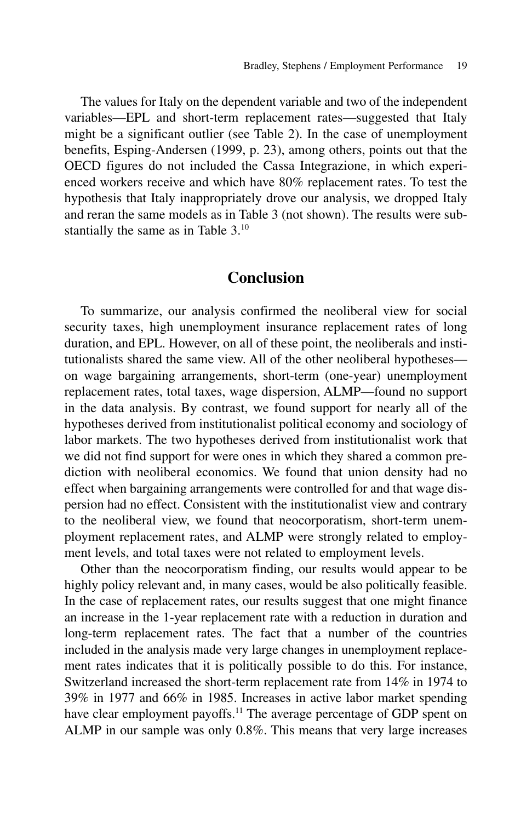The values for Italy on the dependent variable and two of the independent variables—EPL and short-term replacement rates—suggested that Italy might be a significant outlier (see Table 2). In the case of unemployment benefits, Esping-Andersen (1999, p. 23), among others, points out that the OECD figures do not included the Cassa Integrazione, in which experienced workers receive and which have 80% replacement rates. To test the hypothesis that Italy inappropriately drove our analysis, we dropped Italy and reran the same models as in Table 3 (not shown). The results were substantially the same as in Table 3.<sup>10</sup>

#### **Conclusion**

To summarize, our analysis confirmed the neoliberal view for social security taxes, high unemployment insurance replacement rates of long duration, and EPL. However, on all of these point, the neoliberals and institutionalists shared the same view. All of the other neoliberal hypotheses on wage bargaining arrangements, short-term (one-year) unemployment replacement rates, total taxes, wage dispersion, ALMP—found no support in the data analysis. By contrast, we found support for nearly all of the hypotheses derived from institutionalist political economy and sociology of labor markets. The two hypotheses derived from institutionalist work that we did not find support for were ones in which they shared a common prediction with neoliberal economics. We found that union density had no effect when bargaining arrangements were controlled for and that wage dispersion had no effect. Consistent with the institutionalist view and contrary to the neoliberal view, we found that neocorporatism, short-term unemployment replacement rates, and ALMP were strongly related to employment levels, and total taxes were not related to employment levels.

Other than the neocorporatism finding, our results would appear to be highly policy relevant and, in many cases, would be also politically feasible. In the case of replacement rates, our results suggest that one might finance an increase in the 1-year replacement rate with a reduction in duration and long-term replacement rates. The fact that a number of the countries included in the analysis made very large changes in unemployment replacement rates indicates that it is politically possible to do this. For instance, Switzerland increased the short-term replacement rate from 14% in 1974 to 39% in 1977 and 66% in 1985. Increases in active labor market spending have clear employment payoffs.<sup>11</sup> The average percentage of GDP spent on ALMP in our sample was only 0.8%. This means that very large increases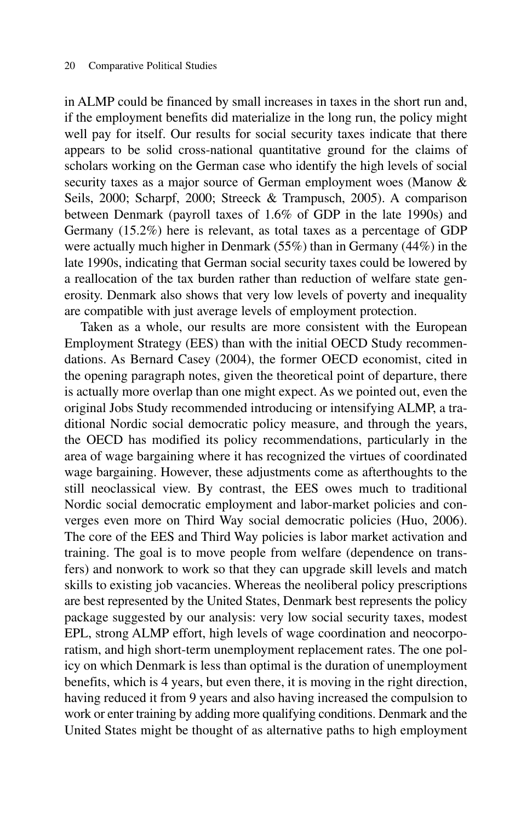in ALMP could be financed by small increases in taxes in the short run and, if the employment benefits did materialize in the long run, the policy might well pay for itself. Our results for social security taxes indicate that there appears to be solid cross-national quantitative ground for the claims of scholars working on the German case who identify the high levels of social security taxes as a major source of German employment woes (Manow & Seils, 2000; Scharpf, 2000; Streeck & Trampusch, 2005). A comparison between Denmark (payroll taxes of 1.6% of GDP in the late 1990s) and Germany (15.2%) here is relevant, as total taxes as a percentage of GDP were actually much higher in Denmark (55%) than in Germany (44%) in the late 1990s, indicating that German social security taxes could be lowered by a reallocation of the tax burden rather than reduction of welfare state generosity. Denmark also shows that very low levels of poverty and inequality are compatible with just average levels of employment protection.

Taken as a whole, our results are more consistent with the European Employment Strategy (EES) than with the initial OECD Study recommendations. As Bernard Casey (2004), the former OECD economist, cited in the opening paragraph notes, given the theoretical point of departure, there is actually more overlap than one might expect. As we pointed out, even the original Jobs Study recommended introducing or intensifying ALMP, a traditional Nordic social democratic policy measure, and through the years, the OECD has modified its policy recommendations, particularly in the area of wage bargaining where it has recognized the virtues of coordinated wage bargaining. However, these adjustments come as afterthoughts to the still neoclassical view. By contrast, the EES owes much to traditional Nordic social democratic employment and labor-market policies and converges even more on Third Way social democratic policies (Huo, 2006). The core of the EES and Third Way policies is labor market activation and training. The goal is to move people from welfare (dependence on transfers) and nonwork to work so that they can upgrade skill levels and match skills to existing job vacancies. Whereas the neoliberal policy prescriptions are best represented by the United States, Denmark best represents the policy package suggested by our analysis: very low social security taxes, modest EPL, strong ALMP effort, high levels of wage coordination and neocorporatism, and high short-term unemployment replacement rates. The one policy on which Denmark is less than optimal is the duration of unemployment benefits, which is 4 years, but even there, it is moving in the right direction, having reduced it from 9 years and also having increased the compulsion to work or enter training by adding more qualifying conditions. Denmark and the United States might be thought of as alternative paths to high employment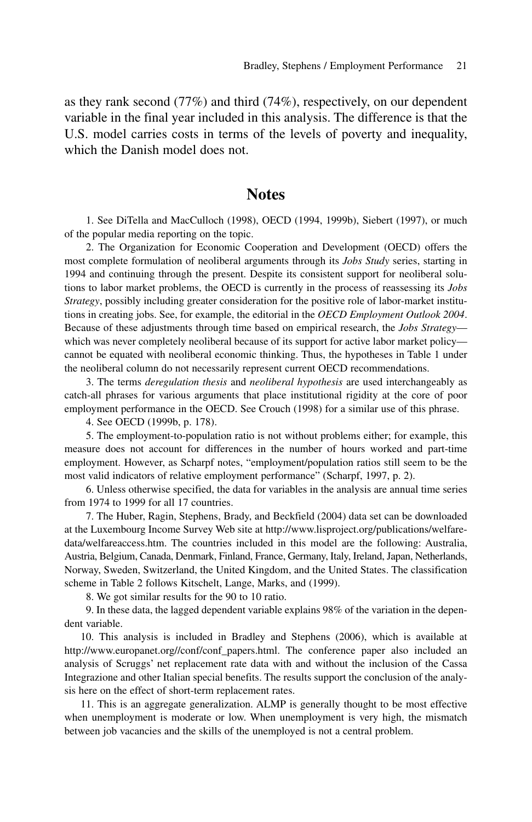as they rank second (77%) and third (74%), respectively, on our dependent variable in the final year included in this analysis. The difference is that the U.S. model carries costs in terms of the levels of poverty and inequality, which the Danish model does not.

#### **Notes**

1. See DiTella and MacCulloch (1998), OECD (1994, 1999b), Siebert (1997), or much of the popular media reporting on the topic.

2. The Organization for Economic Cooperation and Development (OECD) offers the most complete formulation of neoliberal arguments through its *Jobs Study* series, starting in 1994 and continuing through the present. Despite its consistent support for neoliberal solutions to labor market problems, the OECD is currently in the process of reassessing its *Jobs Strategy*, possibly including greater consideration for the positive role of labor-market institutions in creating jobs. See, for example, the editorial in the *OECD Employment Outlook 2004*. Because of these adjustments through time based on empirical research, the *Jobs Strategy* which was never completely neoliberal because of its support for active labor market policy cannot be equated with neoliberal economic thinking. Thus, the hypotheses in Table 1 under the neoliberal column do not necessarily represent current OECD recommendations.

3. The terms *deregulation thesis* and *neoliberal hypothesis* are used interchangeably as catch-all phrases for various arguments that place institutional rigidity at the core of poor employment performance in the OECD. See Crouch (1998) for a similar use of this phrase.

4. See OECD (1999b, p. 178).

5. The employment-to-population ratio is not without problems either; for example, this measure does not account for differences in the number of hours worked and part-time employment. However, as Scharpf notes, "employment/population ratios still seem to be the most valid indicators of relative employment performance" (Scharpf, 1997, p. 2).

6. Unless otherwise specified, the data for variables in the analysis are annual time series from 1974 to 1999 for all 17 countries.

7. The Huber, Ragin, Stephens, Brady, and Beckfield (2004) data set can be downloaded at the Luxembourg Income Survey Web site at http://www.lisproject.org/publications/welfaredata/welfareaccess.htm. The countries included in this model are the following: Australia, Austria, Belgium, Canada, Denmark, Finland, France, Germany, Italy, Ireland, Japan, Netherlands, Norway, Sweden, Switzerland, the United Kingdom, and the United States. The classification scheme in Table 2 follows Kitschelt, Lange, Marks, and (1999).

8. We got similar results for the 90 to 10 ratio.

9. In these data, the lagged dependent variable explains 98% of the variation in the dependent variable.

10. This analysis is included in Bradley and Stephens (2006), which is available at http://www.europanet.org//conf/conf\_papers.html. The conference paper also included an analysis of Scruggs' net replacement rate data with and without the inclusion of the Cassa Integrazione and other Italian special benefits. The results support the conclusion of the analysis here on the effect of short-term replacement rates.

11. This is an aggregate generalization. ALMP is generally thought to be most effective when unemployment is moderate or low. When unemployment is very high, the mismatch between job vacancies and the skills of the unemployed is not a central problem.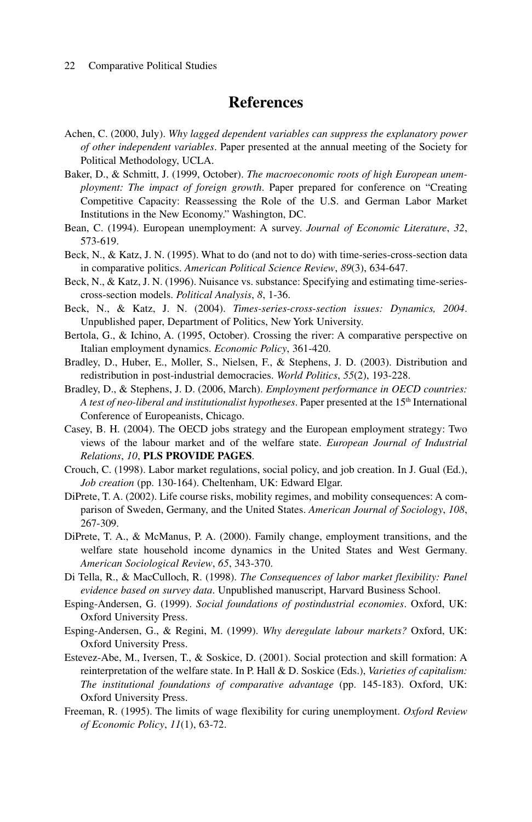## **References**

- Achen, C. (2000, July). *Why lagged dependent variables can suppress the explanatory power of other independent variables*. Paper presented at the annual meeting of the Society for Political Methodology, UCLA.
- Baker, D., & Schmitt, J. (1999, October). *The macroeconomic roots of high European unemployment: The impact of foreign growth*. Paper prepared for conference on "Creating Competitive Capacity: Reassessing the Role of the U.S. and German Labor Market Institutions in the New Economy." Washington, DC.
- Bean, C. (1994). European unemployment: A survey. *Journal of Economic Literature*, *32*, 573-619.
- Beck, N., & Katz, J. N. (1995). What to do (and not to do) with time-series-cross-section data in comparative politics. *American Political Science Review*, *89*(3), 634-647.
- Beck, N., & Katz, J. N. (1996). Nuisance vs. substance: Specifying and estimating time-seriescross-section models. *Political Analysis*, *8*, 1-36.
- Beck, N., & Katz, J. N. (2004). *Times-series-cross-section issues: Dynamics, 2004*. Unpublished paper, Department of Politics, New York University.
- Bertola, G., & Ichino, A. (1995, October). Crossing the river: A comparative perspective on Italian employment dynamics. *Economic Policy*, 361-420.
- Bradley, D., Huber, E., Moller, S., Nielsen, F., & Stephens, J. D. (2003). Distribution and redistribution in post-industrial democracies. *World Politics*, *55*(2), 193-228.
- Bradley, D., & Stephens, J. D. (2006, March). *Employment performance in OECD countries: A test of neo-liberal and institutionalist hypotheses*. Paper presented at the 15th International Conference of Europeanists, Chicago.
- Casey, B. H. (2004). The OECD jobs strategy and the European employment strategy: Two views of the labour market and of the welfare state. *European Journal of Industrial Relations*, *10*, **PLS PROVIDE PAGES**.
- Crouch, C. (1998). Labor market regulations, social policy, and job creation. In J. Gual (Ed.), *Job creation* (pp. 130-164). Cheltenham, UK: Edward Elgar.
- DiPrete, T. A. (2002). Life course risks, mobility regimes, and mobility consequences: A comparison of Sweden, Germany, and the United States. *American Journal of Sociology*, *108*, 267-309.
- DiPrete, T. A., & McManus, P. A. (2000). Family change, employment transitions, and the welfare state household income dynamics in the United States and West Germany. *American Sociological Review*, *65*, 343-370.
- Di Tella, R., & MacCulloch, R. (1998). *The Consequences of labor market flexibility: Panel evidence based on survey data*. Unpublished manuscript, Harvard Business School.
- Esping-Andersen, G. (1999). *Social foundations of postindustrial economies*. Oxford, UK: Oxford University Press.
- Esping-Andersen, G., & Regini, M. (1999). *Why deregulate labour markets?* Oxford, UK: Oxford University Press.
- Estevez-Abe, M., Iversen, T., & Soskice, D. (2001). Social protection and skill formation: A reinterpretation of the welfare state. In P. Hall & D. Soskice (Eds.), *Varieties of capitalism: The institutional foundations of comparative advantage* (pp. 145-183). Oxford, UK: Oxford University Press.
- Freeman, R. (1995). The limits of wage flexibility for curing unemployment. *Oxford Review of Economic Policy*, *11*(1), 63-72.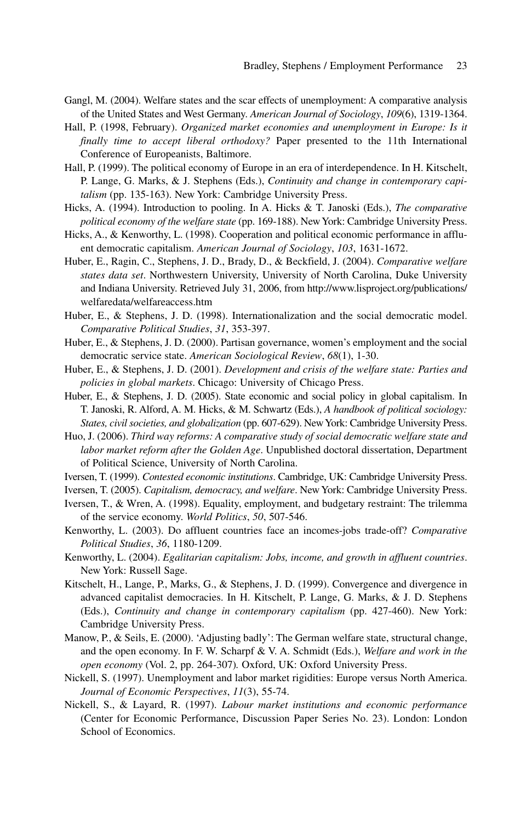- Gangl, M. (2004). Welfare states and the scar effects of unemployment: A comparative analysis of the United States and West Germany. *American Journal of Sociology*, *109*(6), 1319-1364.
- Hall, P. (1998, February). *Organized market economies and unemployment in Europe: Is it finally time to accept liberal orthodoxy?* Paper presented to the 11th International Conference of Europeanists, Baltimore.
- Hall, P. (1999). The political economy of Europe in an era of interdependence. In H. Kitschelt, P. Lange, G. Marks, & J. Stephens (Eds.), *Continuity and change in contemporary capitalism* (pp. 135-163). New York: Cambridge University Press.
- Hicks, A. (1994). Introduction to pooling. In A. Hicks & T. Janoski (Eds.), *The comparative political economy of the welfare state* (pp. 169-188). New York: Cambridge University Press.
- Hicks, A., & Kenworthy, L. (1998). Cooperation and political economic performance in affluent democratic capitalism. *American Journal of Sociology*, *103*, 1631-1672.
- Huber, E., Ragin, C., Stephens, J. D., Brady, D., & Beckfield, J. (2004). *Comparative welfare states data set*. Northwestern University, University of North Carolina, Duke University and Indiana University. Retrieved July 31, 2006, from http://www.lisproject.org/publications/ welfaredata/welfareaccess.htm
- Huber, E., & Stephens, J. D. (1998). Internationalization and the social democratic model. *Comparative Political Studies*, *31*, 353-397.
- Huber, E., & Stephens, J. D. (2000). Partisan governance, women's employment and the social democratic service state. *American Sociological Review*, *68*(1), 1-30.
- Huber, E., & Stephens, J. D. (2001). *Development and crisis of the welfare state: Parties and policies in global markets*. Chicago: University of Chicago Press.
- Huber, E., & Stephens, J. D. (2005). State economic and social policy in global capitalism. In T. Janoski, R. Alford, A. M. Hicks, & M. Schwartz (Eds.), *A handbook of political sociology: States, civil societies, and globalization* (pp. 607-629). New York: Cambridge University Press.
- Huo, J. (2006). *Third way reforms: A comparative study of social democratic welfare state and labor market reform after the Golden Age*. Unpublished doctoral dissertation, Department of Political Science, University of North Carolina.
- Iversen, T. (1999). *Contested economic institutions*. Cambridge, UK: Cambridge University Press.

Iversen, T. (2005). *Capitalism, democracy, and welfare*. New York: Cambridge University Press.

- Iversen, T., & Wren, A. (1998). Equality, employment, and budgetary restraint: The trilemma of the service economy. *World Politics*, *50*, 507-546.
- Kenworthy, L. (2003). Do affluent countries face an incomes-jobs trade-off? *Comparative Political Studies*, *36*, 1180-1209.
- Kenworthy, L. (2004). *Egalitarian capitalism: Jobs, income, and growth in affluent countries*. New York: Russell Sage.
- Kitschelt, H., Lange, P., Marks, G., & Stephens, J. D. (1999). Convergence and divergence in advanced capitalist democracies. In H. Kitschelt, P. Lange, G. Marks, & J. D. Stephens (Eds.), *Continuity and change in contemporary capitalism* (pp. 427-460). New York: Cambridge University Press.
- Manow, P., & Seils, E. (2000). 'Adjusting badly': The German welfare state, structural change, and the open economy. In F. W. Scharpf & V. A. Schmidt (Eds.), *Welfare and work in the open economy* (Vol. 2, pp. 264-307)*.* Oxford, UK: Oxford University Press.
- Nickell, S. (1997). Unemployment and labor market rigidities: Europe versus North America. *Journal of Economic Perspectives*, *11*(3), 55-74.
- Nickell, S., & Layard, R. (1997). *Labour market institutions and economic performance* (Center for Economic Performance, Discussion Paper Series No. 23). London: London School of Economics.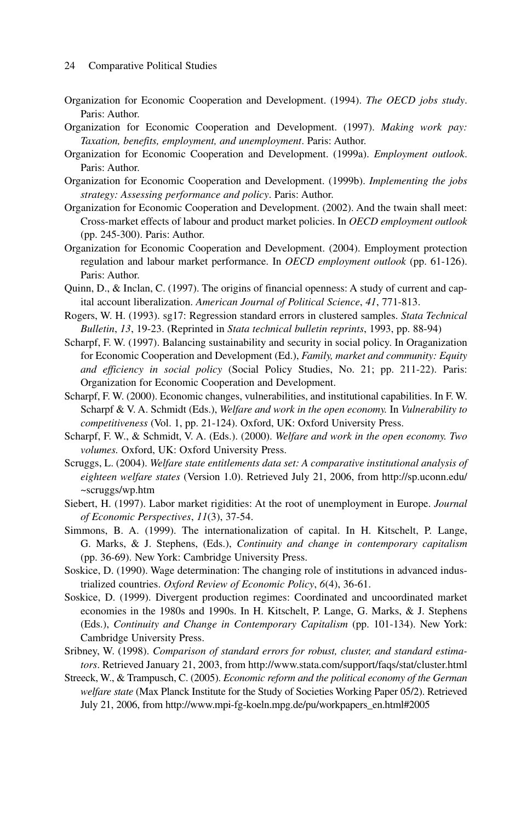- Organization for Economic Cooperation and Development. (1994). *The OECD jobs study*. Paris: Author.
- Organization for Economic Cooperation and Development. (1997). *Making work pay: Taxation, benefits, employment, and unemployment*. Paris: Author.
- Organization for Economic Cooperation and Development. (1999a). *Employment outlook*. Paris: Author.
- Organization for Economic Cooperation and Development. (1999b). *Implementing the jobs strategy: Assessing performance and policy*. Paris: Author.
- Organization for Economic Cooperation and Development. (2002). And the twain shall meet: Cross-market effects of labour and product market policies. In *OECD employment outlook* (pp. 245-300). Paris: Author.
- Organization for Economic Cooperation and Development. (2004). Employment protection regulation and labour market performance. In *OECD employment outlook* (pp. 61-126). Paris: Author.
- Quinn, D., & Inclan, C. (1997). The origins of financial openness: A study of current and capital account liberalization. *American Journal of Political Science*, *41*, 771-813.
- Rogers, W. H. (1993). sg17: Regression standard errors in clustered samples. *Stata Technical Bulletin*, *13*, 19-23. (Reprinted in *Stata technical bulletin reprints*, 1993, pp. 88-94)
- Scharpf, F. W. (1997). Balancing sustainability and security in social policy. In Oraganization for Economic Cooperation and Development (Ed.), *Family, market and community: Equity and efficiency in social policy* (Social Policy Studies, No. 21; pp. 211-22). Paris: Organization for Economic Cooperation and Development.
- Scharpf, F. W. (2000). Economic changes, vulnerabilities, and institutional capabilities. In F. W. Scharpf & V. A. Schmidt (Eds.), *Welfare and work in the open economy.* In *Vulnerability to competitiveness* (Vol. 1, pp. 21-124). Oxford, UK: Oxford University Press.
- Scharpf, F. W., & Schmidt, V. A. (Eds.). (2000). *Welfare and work in the open economy. Two volumes.* Oxford, UK: Oxford University Press.
- Scruggs, L. (2004). *Welfare state entitlements data set: A comparative institutional analysis of eighteen welfare states* (Version 1.0). Retrieved July 21, 2006, from http://sp.uconn.edu/ ~scruggs/wp.htm
- Siebert, H. (1997). Labor market rigidities: At the root of unemployment in Europe. *Journal of Economic Perspectives*, *11*(3), 37-54.
- Simmons, B. A. (1999). The internationalization of capital. In H. Kitschelt, P. Lange, G. Marks, & J. Stephens, (Eds.), *Continuity and change in contemporary capitalism* (pp. 36-69). New York: Cambridge University Press.
- Soskice, D. (1990). Wage determination: The changing role of institutions in advanced industrialized countries. *Oxford Review of Economic Policy*, *6*(4), 36-61.
- Soskice, D. (1999). Divergent production regimes: Coordinated and uncoordinated market economies in the 1980s and 1990s. In H. Kitschelt, P. Lange, G. Marks, & J. Stephens (Eds.), *Continuity and Change in Contemporary Capitalism* (pp. 101-134). New York: Cambridge University Press.
- Sribney, W. (1998). *Comparison of standard errors for robust, cluster, and standard estimators*. Retrieved January 21, 2003, from http://www.stata.com/support/faqs/stat/cluster.html
- Streeck, W., & Trampusch, C. (2005). *Economic reform and the political economy of the German welfare state* (Max Planck Institute for the Study of Societies Working Paper 05/2). Retrieved July 21, 2006, from http://www.mpi-fg-koeln.mpg.de/pu/workpapers\_en.html#2005